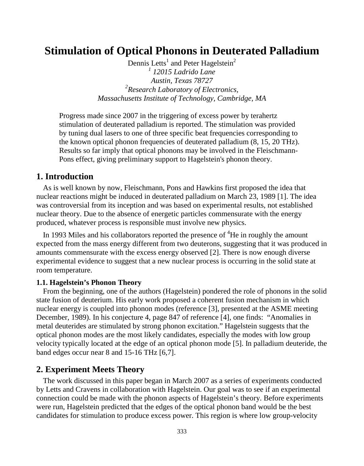# **Stimulation of Optical Phonons in Deuterated Palladium**

Dennis Letts<sup>1</sup> and Peter Hagelstein<sup>2</sup> *1 12015 Ladrido Lane Austin, Texas 78727 2 Research Laboratory of Electronics, Massachusetts Institute of Technology, Cambridge, MA*

Progress made since 2007 in the triggering of excess power by terahertz stimulation of deuterated palladium is reported. The stimulation was provided by tuning dual lasers to one of three specific beat frequencies corresponding to the known optical phonon frequencies of deuterated palladium (8, 15, 20 THz). Results so far imply that optical phonons may be involved in the Fleischmann-Pons effect, giving preliminary support to Hagelstein's phonon theory.

#### **1. Introduction**

As is well known by now, Fleischmann, Pons and Hawkins first proposed the idea that nuclear reactions might be induced in deuterated palladium on March 23, 1989 [1]. The idea was controversial from its inception and was based on experimental results, not established nuclear theory. Due to the absence of energetic particles commensurate with the energy produced, whatever process is responsible must involve new physics.

In 1993 Miles and his collaborators reported the presence of <sup>4</sup>He in roughly the amount expected from the mass energy different from two deuterons, suggesting that it was produced in amounts commensurate with the excess energy observed [2]. There is now enough diverse experimental evidence to suggest that a new nuclear process is occurring in the solid state at room temperature.

#### **1.1. Hagelstein's Phonon Theory**

From the beginning, one of the authors (Hagelstein) pondered the role of phonons in the solid state fusion of deuterium. His early work proposed a coherent fusion mechanism in which nuclear energy is coupled into phonon modes (reference [3], presented at the ASME meeting December, 1989). In his conjecture 4, page 847 of reference [4], one finds: "Anomalies in metal deuterides are stimulated by strong phonon excitation." Hagelstein suggests that the optical phonon modes are the most likely candidates, especially the modes with low group velocity typically located at the edge of an optical phonon mode [5]. In palladium deuteride, the band edges occur near 8 and 15-16 THz [6,7].

#### **2. Experiment Meets Theory**

The work discussed in this paper began in March 2007 as a series of experiments conducted by Letts and Cravens in collaboration with Hagelstein. Our goal was to see if an experimental connection could be made with the phonon aspects of Hagelstein's theory. Before experiments were run, Hagelstein predicted that the edges of the optical phonon band would be the best candidates for stimulation to produce excess power. This region is where low group-velocity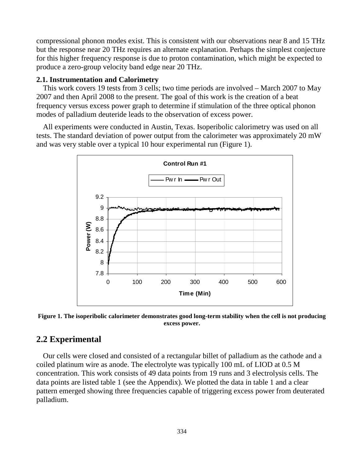compressional phonon modes exist. This is consistent with our observations near 8 and 15 THz but the response near 20 THz requires an alternate explanation. Perhaps the simplest conjecture for this higher frequency response is due to proton contamination, which might be expected to produce a zero-group velocity band edge near 20 THz.

#### **2.1. Instrumentation and Calorimetry**

This work covers 19 tests from 3 cells; two time periods are involved – March 2007 to May 2007 and then April 2008 to the present. The goal of this work is the creation of a beat frequency versus excess power graph to determine if stimulation of the three optical phonon modes of palladium deuteride leads to the observation of excess power.

All experiments were conducted in Austin, Texas. Isoperibolic calorimetry was used on all tests. The standard deviation of power output from the calorimeter was approximately 20 mW and was very stable over a typical 10 hour experimental run (Figure 1).



**Figure 1. The isoperibolic calorimeter demonstrates good long-term stability when the cell is not producing excess power.**

## **2.2 Experimental**

Our cells were closed and consisted of a rectangular billet of palladium as the cathode and a coiled platinum wire as anode. The electrolyte was typically 100 mL of LIOD at 0.5 M concentration. This work consists of 49 data points from 19 runs and 3 electrolysis cells. The data points are listed table 1 (see the Appendix). We plotted the data in table 1 and a clear pattern emerged showing three frequencies capable of triggering excess power from deuterated palladium.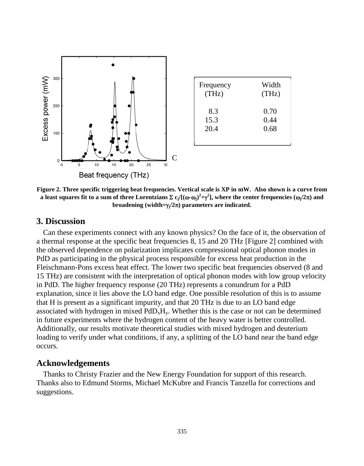

**Figure 2. Three specific triggering beat frequencies. Vertical scale is XP in mW. Also shown is a curve from**  $\alpha$  least squares fit to a sum of three Lorentzians  $\sum c_j/[(\omega\text{-}\omega_j)^2+\gamma^2]$ , where the center frequencies  $(\omega_j/2\pi)$  and **broadening (width=<sup>j</sup> /2) parameters are indicated.**

#### **3. Discussion**

Can these experiments connect with any known physics? On the face of it, the observation of a thermal response at the specific beat frequencies 8, 15 and 20 THz [Figure 2] combined with the observed dependence on polarization implicates compressional optical phonon modes in PdD as participating in the physical process responsible for excess heat production in the Fleischmann-Pons excess heat effect. The lower two specific beat frequencies observed (8 and 15 THz) are consistent with the interpretation of optical phonon modes with low group velocity in PdD. The higher frequency response (20 THz) represents a conundrum for a PdD explanation, since it lies above the LO band edge. One possible resolution of this is to assume that H is present as a significant impurity, and that 20 THz is due to an LO band edge associated with hydrogen in mixed  $PdD_xH_y$ . Whether this is the case or not can be determined in future experiments where the hydrogen content of the heavy water is better controlled. Additionally, our results motivate theoretical studies with mixed hydrogen and deuterium loading to verify under what conditions, if any, a splitting of the LO band near the band edge occurs.

### **Acknowledgements**

Thanks to Christy Frazier and the New Energy Foundation for support of this research. Thanks also to Edmund Storms, Michael McKubre and Francis Tanzella for corrections and suggestions.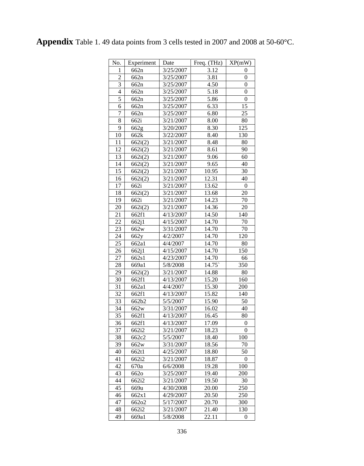| No.                     | Experiment    | Date                   | Freq. (THz)    | XP(mW)           |
|-------------------------|---------------|------------------------|----------------|------------------|
| 1                       | 662n          | 3/25/2007              | 3.12           | 0                |
| $\overline{\mathbf{c}}$ | 662n          | 3/25/2007              | 3.81           | 0                |
| $\overline{3}$          | 662n          | 3/25/2007              | 4.50           | 0                |
| $\overline{4}$          | 662n          | 3/25/2007              | 5.18           | $\overline{0}$   |
| 5                       | 662n          | 3/25/2007              | 5.86           | $\overline{0}$   |
| 6                       | 662n          | 3/25/2007              | 6.33           | 15               |
| 7                       | 662n          | 3/25/2007              | 6.80           | $\overline{25}$  |
| 8                       | 662i          | 3/21/2007              | 8.00           | 80               |
| 9                       | 662g          | 3/20/2007              | 8.30           | 125              |
| 10                      | 662k          | 3/22/2007              | 8.40           | 130              |
| 11                      | 662i(2)       | 3/21/2007              | 8.48           | 80               |
| 12                      | 662i(2)       | 3/21/2007              | 8.61           | 90               |
| 13                      | 662i(2)       | 3/21/2007              | 9.06           | 60               |
| 14                      | 662i(2)       | 3/21/2007              | 9.65           | 40               |
| 15                      | 662i(2)       | 3/21/2007              | 10.95          | 30               |
| 16                      | 662i(2)       | 3/21/2007              | 12.31          | 40               |
| 17                      | 662i          | 3/21/2007              | 13.62          | $\theta$         |
| 18                      | 662i(2)       | 3/21/2007              | 13.68          | 20               |
| 19                      | 662i          | 3/21/2007              | 14.23          | 70               |
| 20                      | 662i(2)       | 3/21/2007              | 14.36          | 20               |
| 21                      | 662f1         | 4/13/2007              | 14.50          | 140              |
| 22                      | 662j1         | 4/15/2007              | 14.70          | 70               |
| 23                      | 662w          | 3/31/2007              | 14.70          | 70               |
| 24                      | 662y          | 4/2/2007               | 14.70          | 120              |
| 25                      | 662a1         | 4/4/2007               | 14.70          | 80               |
| 26                      | 662j1         | 4/15/2007              | 14.70          | 150              |
| 27                      | 662s1         | 4/23/2007              | 14.70          | 66               |
| 28                      | 669a1         | 5/8/2008               | 14.75          | 350              |
| 29                      | 662i(2)       | 3/21/2007              | 14.88          | 80               |
| 30                      | 662f1         | 4/13/2007              | 15.20          | 160              |
| 31                      | 662a1         | 4/4/2007               | 15.30          | 200              |
| 32                      | 662f1         | 4/13/2007              | 15.82          | 140              |
| 33                      | 662b2         | 5/5/2007               | 15.90          | 50               |
| 34                      | 662w          | 3/31/2007              | 16.02          | 40               |
| 35                      | 662f1         | 4/13/2007              | 16.45          | 80               |
| 36                      | 662f1         | 4/13/2007              | 17.09          | 0                |
| 37                      | 662i2         | 3/21/2007              | 18.23          | $\overline{0}$   |
| 38                      | 662c2         | 5/5/2007               | 18.40          | 100              |
| 39                      | 662w          | 3/31/2007              | 18.56          | 70               |
| 40                      | 662t1         | 4/25/2007              | 18.80          | 50               |
| 41                      | 662i2         | 3/21/2007              | 18.87          | 0                |
| 42                      | 670a          | 6/6/2008               | 19.28          | 100              |
| 43                      | 6620          | 3/25/2007              | 19.40          | 200              |
| 44                      |               |                        |                |                  |
| 45                      | 662i2<br>669u | 3/21/2007<br>4/30/2008 | 19.50<br>20.00 | 30<br>250        |
| 46                      | 662x1         |                        | 20.50          | 250              |
| 47                      |               | 4/29/2007              |                |                  |
|                         | 662o2         | 5/17/2007              | 20.70          | 300              |
| 48                      | 662i2         | 3/21/2007              | 21.40          | 130              |
| 49                      | 669a1         | 5/8/2008               | 22.11          | $\boldsymbol{0}$ |

**Appendix** Table 1. 49 data points from 3 cells tested in 2007 and 2008 at 50-60°C.